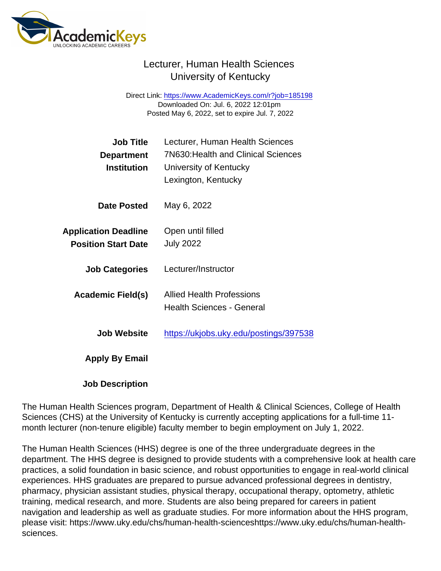## Lecturer, Human Health Sciences University of Kentucky

Direct Link: <https://www.AcademicKeys.com/r?job=185198> Downloaded On: Jul. 6, 2022 12:01pm Posted May 6, 2022, set to expire Jul. 7, 2022

| Job Title<br>Department<br>Institution                    | Lecturer, Human Health Sciences<br><b>7N630: Health and Clinical Sciences</b><br>University of Kentucky<br>Lexington, Kentucky |
|-----------------------------------------------------------|--------------------------------------------------------------------------------------------------------------------------------|
| Date Posted                                               | May 6, 2022                                                                                                                    |
| <b>Application Deadline</b><br><b>Position Start Date</b> | Open until filled<br><b>July 2022</b>                                                                                          |
| <b>Job Categories</b>                                     | Lecturer/Instructor                                                                                                            |
| Academic Field(s)                                         | <b>Allied Health Professions</b><br>Health Sciences - General                                                                  |
| Job Website                                               | https://ukjobs.uky.edu/postings/397538                                                                                         |
| Apply By Email                                            |                                                                                                                                |
|                                                           |                                                                                                                                |

Job Description

The Human Health Sciences program, Department of Health & Clinical Sciences, College of Health Sciences (CHS) at the University of Kentucky is currently accepting applications for a full-time 11 month lecturer (non-tenure eligible) faculty member to begin employment on July 1, 2022.

The Human Health Sciences (HHS) degree is one of the three undergraduate degrees in the department. The HHS degree is designed to provide students with a comprehensive look at health care practices, a solid foundation in basic science, and robust opportunities to engage in real-world clinical experiences. HHS graduates are prepared to pursue advanced professional degrees in dentistry, pharmacy, physician assistant studies, physical therapy, occupational therapy, optometry, athletic training, medical research, and more. Students are also being prepared for careers in patient navigation and leadership as well as graduate studies. For more information about the HHS program, please visit: https://www.uky.edu/chs/human-health-scienceshttps://www.uky.edu/chs/human-healthsciences.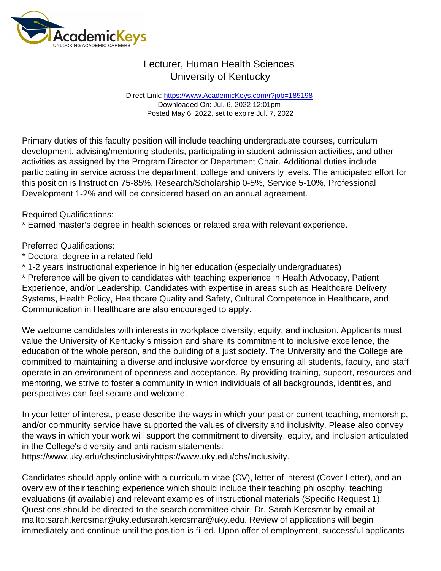## Lecturer, Human Health Sciences University of Kentucky

Direct Link: <https://www.AcademicKeys.com/r?job=185198> Downloaded On: Jul. 6, 2022 12:01pm Posted May 6, 2022, set to expire Jul. 7, 2022

Primary duties of this faculty position will include teaching undergraduate courses, curriculum development, advising/mentoring students, participating in student admission activities, and other activities as assigned by the Program Director or Department Chair. Additional duties include participating in service across the department, college and university levels. The anticipated effort for this position is Instruction 75-85%, Research/Scholarship 0-5%, Service 5-10%, Professional Development 1-2% and will be considered based on an annual agreement.

Required Qualifications:

\* Earned master's degree in health sciences or related area with relevant experience.

Preferred Qualifications:

- \* Doctoral degree in a related field
- \* 1-2 years instructional experience in higher education (especially undergraduates)

\* Preference will be given to candidates with teaching experience in Health Advocacy, Patient Experience, and/or Leadership. Candidates with expertise in areas such as Healthcare Delivery Systems, Health Policy, Healthcare Quality and Safety, Cultural Competence in Healthcare, and Communication in Healthcare are also encouraged to apply.

We welcome candidates with interests in workplace diversity, equity, and inclusion. Applicants must value the University of Kentucky's mission and share its commitment to inclusive excellence, the education of the whole person, and the building of a just society. The University and the College are committed to maintaining a diverse and inclusive workforce by ensuring all students, faculty, and staff operate in an environment of openness and acceptance. By providing training, support, resources and mentoring, we strive to foster a community in which individuals of all backgrounds, identities, and perspectives can feel secure and welcome.

In your letter of interest, please describe the ways in which your past or current teaching, mentorship, and/or community service have supported the values of diversity and inclusivity. Please also convey the ways in which your work will support the commitment to diversity, equity, and inclusion articulated in the College's diversity and anti-racism statements:

https://www.uky.edu/chs/inclusivityhttps://www.uky.edu/chs/inclusivity.

Candidates should apply online with a curriculum vitae (CV), letter of interest (Cover Letter), and an overview of their teaching experience which should include their teaching philosophy, teaching evaluations (if available) and relevant examples of instructional materials (Specific Request 1). Questions should be directed to the search committee chair, Dr. Sarah Kercsmar by email at mailto:sarah.kercsmar@uky.edusarah.kercsmar@uky.edu. Review of applications will begin immediately and continue until the position is filled. Upon offer of employment, successful applicants